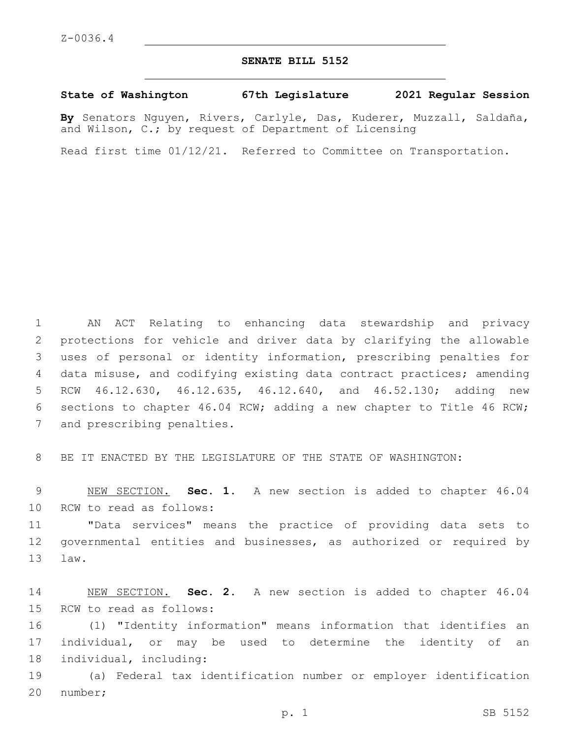## **SENATE BILL 5152**

## **State of Washington 67th Legislature 2021 Regular Session**

**By** Senators Nguyen, Rivers, Carlyle, Das, Kuderer, Muzzall, Saldaña, and Wilson, C.; by request of Department of Licensing

Read first time 01/12/21. Referred to Committee on Transportation.

 AN ACT Relating to enhancing data stewardship and privacy protections for vehicle and driver data by clarifying the allowable uses of personal or identity information, prescribing penalties for data misuse, and codifying existing data contract practices; amending RCW 46.12.630, 46.12.635, 46.12.640, and 46.52.130; adding new sections to chapter 46.04 RCW; adding a new chapter to Title 46 RCW; 7 and prescribing penalties.

8 BE IT ENACTED BY THE LEGISLATURE OF THE STATE OF WASHINGTON:

9 NEW SECTION. **Sec. 1.** A new section is added to chapter 46.04 10 RCW to read as follows:

11 "Data services" means the practice of providing data sets to 12 governmental entities and businesses, as authorized or required by 13 law.

14 NEW SECTION. **Sec. 2.** A new section is added to chapter 46.04 15 RCW to read as follows:

16 (1) "Identity information" means information that identifies an 17 individual, or may be used to determine the identity of an 18 individual, including:

19 (a) Federal tax identification number or employer identification 20 number;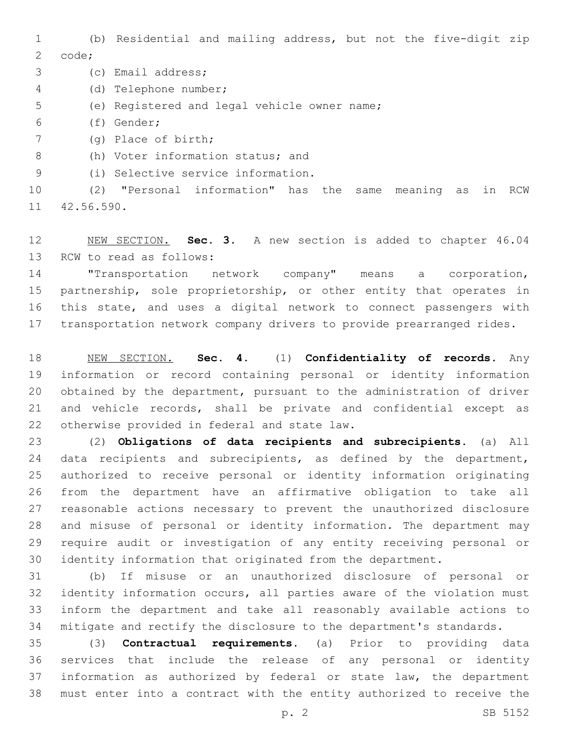(b) Residential and mailing address, but not the five-digit zip 2 code;

3 (c) Email address;

(d) Telephone number;4

- 5 (e) Registered and legal vehicle owner name;
- (f) Gender;6
- (g) Place of birth;7

8 (h) Voter information status; and

(i) Selective service information.9

 (2) "Personal information" has the same meaning as in RCW 11 42.56.590.

 NEW SECTION. **Sec. 3.** A new section is added to chapter 46.04 13 RCW to read as follows:

 "Transportation network company" means a corporation, partnership, sole proprietorship, or other entity that operates in this state, and uses a digital network to connect passengers with transportation network company drivers to provide prearranged rides.

 NEW SECTION. **Sec. 4.** (1) **Confidentiality of records.** Any information or record containing personal or identity information obtained by the department, pursuant to the administration of driver and vehicle records, shall be private and confidential except as otherwise provided in federal and state law.

 (2) **Obligations of data recipients and subrecipients.** (a) All 24 data recipients and subrecipients, as defined by the department, authorized to receive personal or identity information originating from the department have an affirmative obligation to take all reasonable actions necessary to prevent the unauthorized disclosure and misuse of personal or identity information. The department may require audit or investigation of any entity receiving personal or identity information that originated from the department.

 (b) If misuse or an unauthorized disclosure of personal or identity information occurs, all parties aware of the violation must inform the department and take all reasonably available actions to mitigate and rectify the disclosure to the department's standards.

 (3) **Contractual requirements.** (a) Prior to providing data services that include the release of any personal or identity information as authorized by federal or state law, the department must enter into a contract with the entity authorized to receive the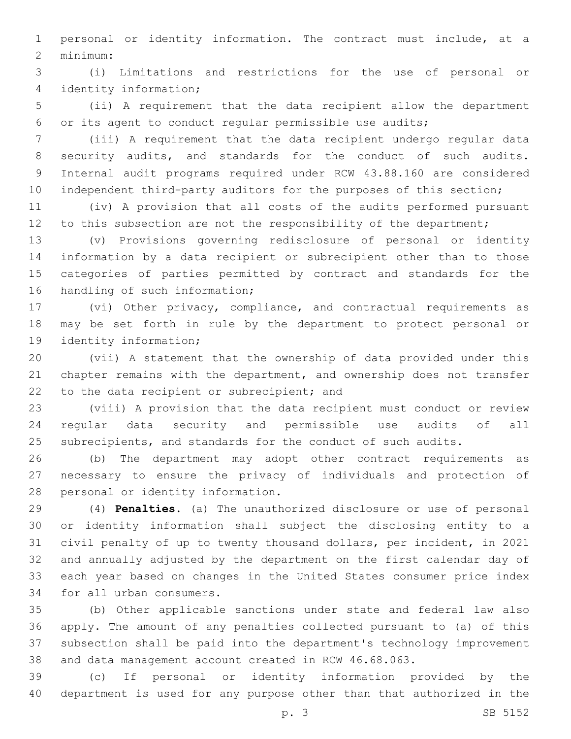personal or identity information. The contract must include, at a minimum:2

 (i) Limitations and restrictions for the use of personal or identity information;4

 (ii) A requirement that the data recipient allow the department or its agent to conduct regular permissible use audits;

 (iii) A requirement that the data recipient undergo regular data security audits, and standards for the conduct of such audits. Internal audit programs required under RCW 43.88.160 are considered 10 independent third-party auditors for the purposes of this section;

 (iv) A provision that all costs of the audits performed pursuant 12 to this subsection are not the responsibility of the department;

 (v) Provisions governing redisclosure of personal or identity information by a data recipient or subrecipient other than to those categories of parties permitted by contract and standards for the 16 handling of such information;

 (vi) Other privacy, compliance, and contractual requirements as may be set forth in rule by the department to protect personal or 19 identity information;

 (vii) A statement that the ownership of data provided under this chapter remains with the department, and ownership does not transfer 22 to the data recipient or subrecipient; and

 (viii) A provision that the data recipient must conduct or review regular data security and permissible use audits of all subrecipients, and standards for the conduct of such audits.

 (b) The department may adopt other contract requirements as necessary to ensure the privacy of individuals and protection of 28 personal or identity information.

 (4) **Penalties.** (a) The unauthorized disclosure or use of personal or identity information shall subject the disclosing entity to a civil penalty of up to twenty thousand dollars, per incident, in 2021 and annually adjusted by the department on the first calendar day of each year based on changes in the United States consumer price index 34 for all urban consumers.

 (b) Other applicable sanctions under state and federal law also apply. The amount of any penalties collected pursuant to (a) of this subsection shall be paid into the department's technology improvement and data management account created in RCW 46.68.063.

 (c) If personal or identity information provided by the department is used for any purpose other than that authorized in the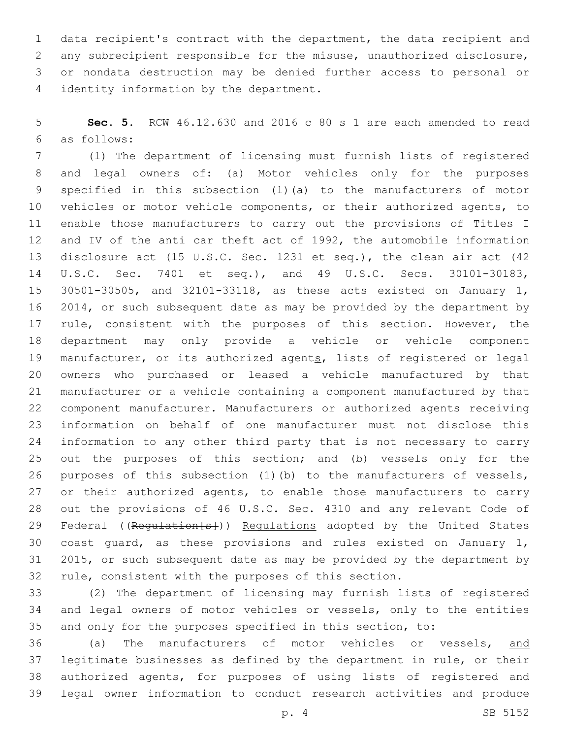data recipient's contract with the department, the data recipient and any subrecipient responsible for the misuse, unauthorized disclosure, or nondata destruction may be denied further access to personal or 4 identity information by the department.

 **Sec. 5.** RCW 46.12.630 and 2016 c 80 s 1 are each amended to read as follows:6

 (1) The department of licensing must furnish lists of registered and legal owners of: (a) Motor vehicles only for the purposes specified in this subsection (1)(a) to the manufacturers of motor vehicles or motor vehicle components, or their authorized agents, to enable those manufacturers to carry out the provisions of Titles I and IV of the anti car theft act of 1992, the automobile information disclosure act (15 U.S.C. Sec. 1231 et seq.), the clean air act (42 U.S.C. Sec. 7401 et seq.), and 49 U.S.C. Secs. 30101-30183, 30501-30505, and 32101-33118, as these acts existed on January 1, 2014, or such subsequent date as may be provided by the department by 17 rule, consistent with the purposes of this section. However, the department may only provide a vehicle or vehicle component 19 manufacturer, or its authorized agents, lists of registered or legal owners who purchased or leased a vehicle manufactured by that manufacturer or a vehicle containing a component manufactured by that component manufacturer. Manufacturers or authorized agents receiving information on behalf of one manufacturer must not disclose this information to any other third party that is not necessary to carry out the purposes of this section; and (b) vessels only for the purposes of this subsection (1)(b) to the manufacturers of vessels, 27 or their authorized agents, to enable those manufacturers to carry out the provisions of 46 U.S.C. Sec. 4310 and any relevant Code of 29 Federal ((Requlation[s])) Requlations adopted by the United States coast guard, as these provisions and rules existed on January 1, 2015, or such subsequent date as may be provided by the department by rule, consistent with the purposes of this section.

 (2) The department of licensing may furnish lists of registered and legal owners of motor vehicles or vessels, only to the entities and only for the purposes specified in this section, to:

 (a) The manufacturers of motor vehicles or vessels, and legitimate businesses as defined by the department in rule, or their authorized agents, for purposes of using lists of registered and legal owner information to conduct research activities and produce

p. 4 SB 5152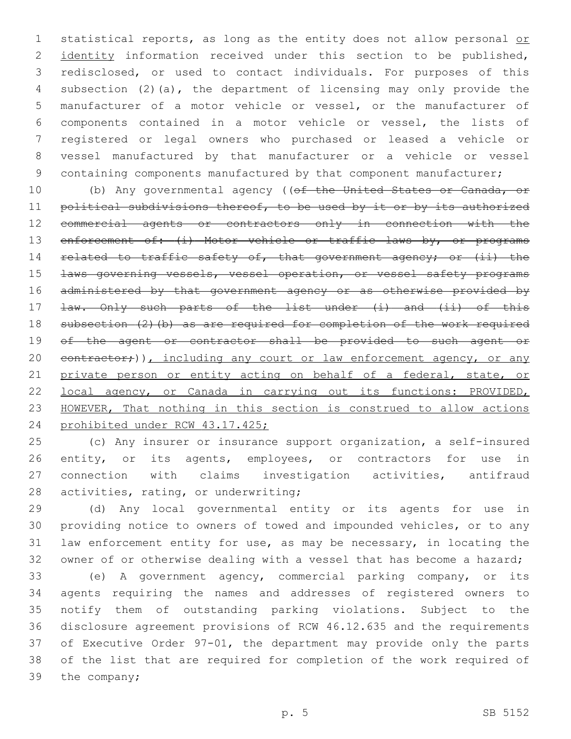1 statistical reports, as long as the entity does not allow personal or 2 identity information received under this section to be published, redisclosed, or used to contact individuals. For purposes of this subsection (2)(a), the department of licensing may only provide the manufacturer of a motor vehicle or vessel, or the manufacturer of components contained in a motor vehicle or vessel, the lists of registered or legal owners who purchased or leased a vehicle or vessel manufactured by that manufacturer or a vehicle or vessel 9 containing components manufactured by that component manufacturer;

10 (b) Any governmental agency ((of the United States or Canada, or 11 political subdivisions thereof, to be used by it or by its authorized commercial agents or contractors only in connection with the 13 enforcement of: (i) Motor vehicle or traffic laws by, or programs 14 related to traffic safety of, that government agency; or (ii) the **Laws governing vessels, vessel operation, or vessel safety programs**  administered by that government agency or as otherwise provided by 17 <del>law. Only such parts of the list under (i) and (ii) of this</del> 18 subsection (2)(b) as are required for completion of the work required of the agent or contractor shall be provided to such agent or 20 contractor;)), including any court or law enforcement agency, or any 21 private person or entity acting on behalf of a federal, state, or local agency, or Canada in carrying out its functions: PROVIDED, HOWEVER, That nothing in this section is construed to allow actions prohibited under RCW 43.17.425;

 (c) Any insurer or insurance support organization, a self-insured 26 entity, or its agents, employees, or contractors for use in connection with claims investigation activities, antifraud 28 activities, rating, or underwriting;

 (d) Any local governmental entity or its agents for use in providing notice to owners of towed and impounded vehicles, or to any law enforcement entity for use, as may be necessary, in locating the owner of or otherwise dealing with a vessel that has become a hazard;

 (e) A government agency, commercial parking company, or its agents requiring the names and addresses of registered owners to notify them of outstanding parking violations. Subject to the disclosure agreement provisions of RCW 46.12.635 and the requirements of Executive Order 97-01, the department may provide only the parts of the list that are required for completion of the work required of 39 the company;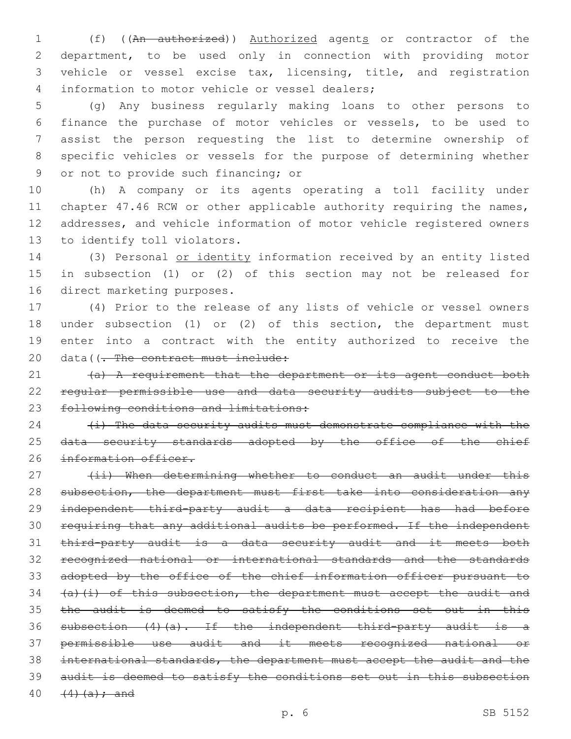1 (f) ((An authorized)) Authorized agents or contractor of the department, to be used only in connection with providing motor vehicle or vessel excise tax, licensing, title, and registration 4 information to motor vehicle or vessel dealers;

 (g) Any business regularly making loans to other persons to finance the purchase of motor vehicles or vessels, to be used to assist the person requesting the list to determine ownership of specific vehicles or vessels for the purpose of determining whether 9 or not to provide such financing; or

 (h) A company or its agents operating a toll facility under 11 chapter 47.46 RCW or other applicable authority requiring the names, addresses, and vehicle information of motor vehicle registered owners 13 to identify toll violators.

 (3) Personal or identity information received by an entity listed in subsection (1) or (2) of this section may not be released for 16 direct marketing purposes.

 (4) Prior to the release of any lists of vehicle or vessel owners under subsection (1) or (2) of this section, the department must enter into a contract with the entity authorized to receive the 20 data((- The contract must include:

21 (a) A requirement that the department or its agent conduct both regular permissible use and data security audits subject to the 23 following conditions and limitations:

  $\leftrightarrow$  The data security audits must demonstrate compliance with the 25 data security standards adopted by the office of the chief 26 information officer.

27 (ii) When determining whether to conduct an audit under this 28 subsection, the department must first take into consideration any independent third-party audit a data recipient has had before requiring that any additional audits be performed. If the independent third-party audit is a data security audit and it meets both recognized national or international standards and the standards adopted by the office of the chief information officer pursuant to  $(a)$   $(i)$  of this subsection, the department must accept the audit and 35 the audit is deemed to satisfy the conditions set out in this subsection (4)(a). If the independent third-party audit is a permissible use audit and it meets recognized national or international standards, the department must accept the audit and the audit is deemed to satisfy the conditions set out in this subsection  $(4)(a);$  and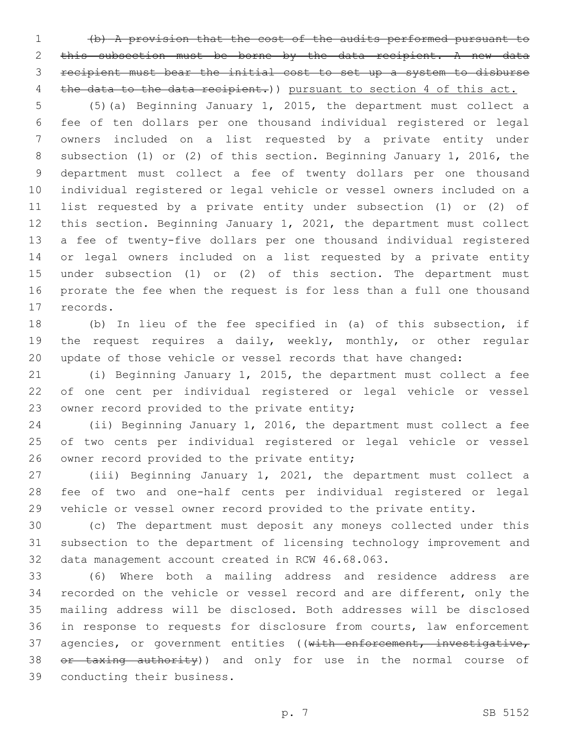(b) A provision that the cost of the audits performed pursuant to this subsection must be borne by the data recipient. A new data recipient must bear the initial cost to set up a system to disburse 4 the data to the data recipient.) pursuant to section 4 of this act.

 (5)(a) Beginning January 1, 2015, the department must collect a fee of ten dollars per one thousand individual registered or legal owners included on a list requested by a private entity under subsection (1) or (2) of this section. Beginning January 1, 2016, the department must collect a fee of twenty dollars per one thousand individual registered or legal vehicle or vessel owners included on a list requested by a private entity under subsection (1) or (2) of this section. Beginning January 1, 2021, the department must collect a fee of twenty-five dollars per one thousand individual registered or legal owners included on a list requested by a private entity under subsection (1) or (2) of this section. The department must prorate the fee when the request is for less than a full one thousand 17 records.

 (b) In lieu of the fee specified in (a) of this subsection, if the request requires a daily, weekly, monthly, or other regular update of those vehicle or vessel records that have changed:

 (i) Beginning January 1, 2015, the department must collect a fee of one cent per individual registered or legal vehicle or vessel 23 owner record provided to the private entity;

 (ii) Beginning January 1, 2016, the department must collect a fee of two cents per individual registered or legal vehicle or vessel 26 owner record provided to the private entity;

 (iii) Beginning January 1, 2021, the department must collect a fee of two and one-half cents per individual registered or legal vehicle or vessel owner record provided to the private entity.

 (c) The department must deposit any moneys collected under this subsection to the department of licensing technology improvement and 32 data management account created in RCW 46.68.063.

 (6) Where both a mailing address and residence address are recorded on the vehicle or vessel record and are different, only the mailing address will be disclosed. Both addresses will be disclosed in response to requests for disclosure from courts, law enforcement 37 agencies, or government entities ((with enforcement, investigative, 38 or taxing authority)) and only for use in the normal course of 39 conducting their business.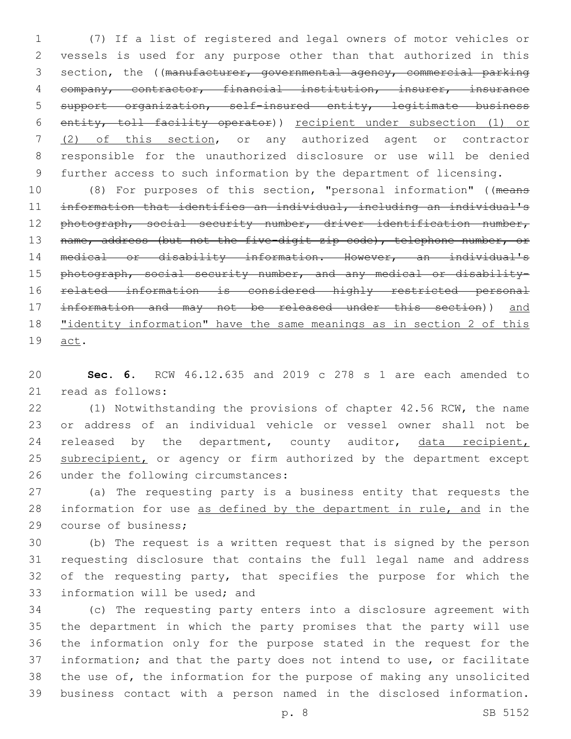(7) If a list of registered and legal owners of motor vehicles or vessels is used for any purpose other than that authorized in this 3 section, the ((manufacturer, governmental agency, commercial parking company, contractor, financial institution, insurer, insurance support organization, self-insured entity, legitimate business entity, toll facility operator)) recipient under subsection (1) or (2) of this section, or any authorized agent or contractor responsible for the unauthorized disclosure or use will be denied further access to such information by the department of licensing.

 (8) For purposes of this section, "personal information" ((means information that identifies an individual, including an individual's 12 photograph, social security number, driver identification number, 13 name, address (but not the five-digit zip code), telephone number, or medical or disability information. However, an individual's 15 photograph, social security number, and any medical or disability- related information is considered highly restricted personal information and may not be released under this section)) and "identity information" have the same meanings as in section 2 of this 19 act.

 **Sec. 6.** RCW 46.12.635 and 2019 c 278 s 1 are each amended to 21 read as follows:

 (1) Notwithstanding the provisions of chapter 42.56 RCW, the name or address of an individual vehicle or vessel owner shall not be 24 released by the department, county auditor, data recipient, 25 subrecipient, or agency or firm authorized by the department except 26 under the following circumstances:

 (a) The requesting party is a business entity that requests the information for use as defined by the department in rule, and in the 29 course of business;

 (b) The request is a written request that is signed by the person requesting disclosure that contains the full legal name and address 32 of the requesting party, that specifies the purpose for which the 33 information will be used; and

 (c) The requesting party enters into a disclosure agreement with the department in which the party promises that the party will use the information only for the purpose stated in the request for the information; and that the party does not intend to use, or facilitate the use of, the information for the purpose of making any unsolicited business contact with a person named in the disclosed information.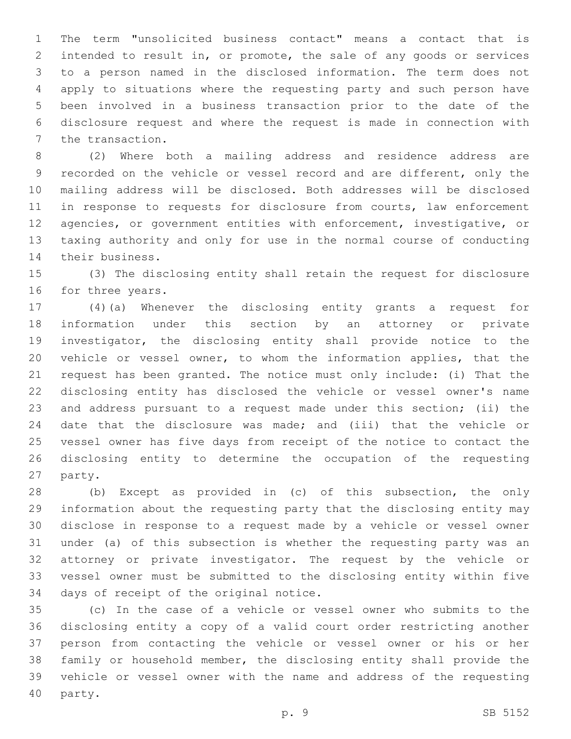The term "unsolicited business contact" means a contact that is intended to result in, or promote, the sale of any goods or services to a person named in the disclosed information. The term does not apply to situations where the requesting party and such person have been involved in a business transaction prior to the date of the disclosure request and where the request is made in connection with 7 the transaction.

 (2) Where both a mailing address and residence address are recorded on the vehicle or vessel record and are different, only the mailing address will be disclosed. Both addresses will be disclosed 11 in response to requests for disclosure from courts, law enforcement agencies, or government entities with enforcement, investigative, or taxing authority and only for use in the normal course of conducting 14 their business.

 (3) The disclosing entity shall retain the request for disclosure 16 for three years.

 (4)(a) Whenever the disclosing entity grants a request for information under this section by an attorney or private investigator, the disclosing entity shall provide notice to the vehicle or vessel owner, to whom the information applies, that the request has been granted. The notice must only include: (i) That the disclosing entity has disclosed the vehicle or vessel owner's name and address pursuant to a request made under this section; (ii) the date that the disclosure was made; and (iii) that the vehicle or vessel owner has five days from receipt of the notice to contact the disclosing entity to determine the occupation of the requesting 27 party.

 (b) Except as provided in (c) of this subsection, the only information about the requesting party that the disclosing entity may disclose in response to a request made by a vehicle or vessel owner under (a) of this subsection is whether the requesting party was an attorney or private investigator. The request by the vehicle or vessel owner must be submitted to the disclosing entity within five 34 days of receipt of the original notice.

 (c) In the case of a vehicle or vessel owner who submits to the disclosing entity a copy of a valid court order restricting another person from contacting the vehicle or vessel owner or his or her family or household member, the disclosing entity shall provide the vehicle or vessel owner with the name and address of the requesting 40 party.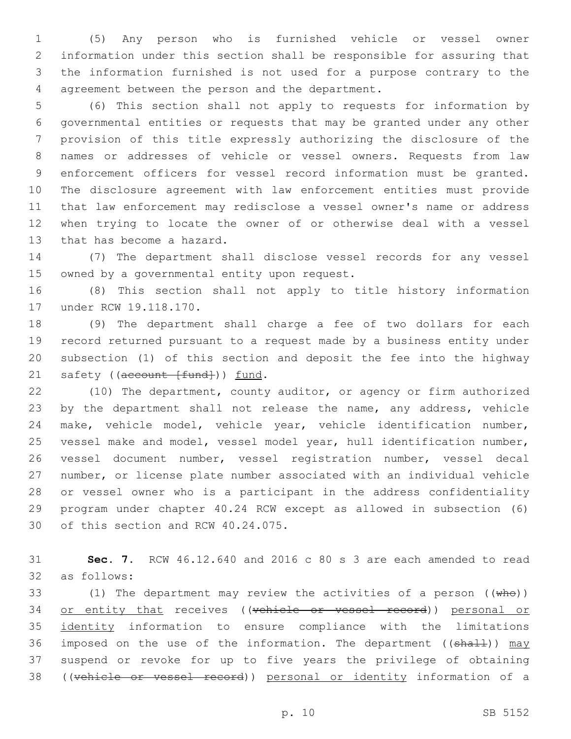(5) Any person who is furnished vehicle or vessel owner information under this section shall be responsible for assuring that the information furnished is not used for a purpose contrary to the 4 agreement between the person and the department.

 (6) This section shall not apply to requests for information by governmental entities or requests that may be granted under any other provision of this title expressly authorizing the disclosure of the names or addresses of vehicle or vessel owners. Requests from law enforcement officers for vessel record information must be granted. The disclosure agreement with law enforcement entities must provide that law enforcement may redisclose a vessel owner's name or address when trying to locate the owner of or otherwise deal with a vessel 13 that has become a hazard.

 (7) The department shall disclose vessel records for any vessel 15 owned by a governmental entity upon request.

 (8) This section shall not apply to title history information 17 under RCW 19.118.170.

 (9) The department shall charge a fee of two dollars for each record returned pursuant to a request made by a business entity under subsection (1) of this section and deposit the fee into the highway 21 safety ((account [fund])) fund.

 (10) The department, county auditor, or agency or firm authorized 23 by the department shall not release the name, any address, vehicle make, vehicle model, vehicle year, vehicle identification number, vessel make and model, vessel model year, hull identification number, vessel document number, vessel registration number, vessel decal number, or license plate number associated with an individual vehicle or vessel owner who is a participant in the address confidentiality program under chapter 40.24 RCW except as allowed in subsection (6) 30 of this section and RCW 40.24.075.

 **Sec. 7.** RCW 46.12.640 and 2016 c 80 s 3 are each amended to read 32 as follows:

33 (1) The department may review the activities of a person  $((\text{whe}))$ 34 or entity that receives ((vehicle or vessel record)) personal or identity information to ensure compliance with the limitations 36 imposed on the use of the information. The department ( $(\text{shall})$ ) may suspend or revoke for up to five years the privilege of obtaining ((vehicle or vessel record)) personal or identity information of a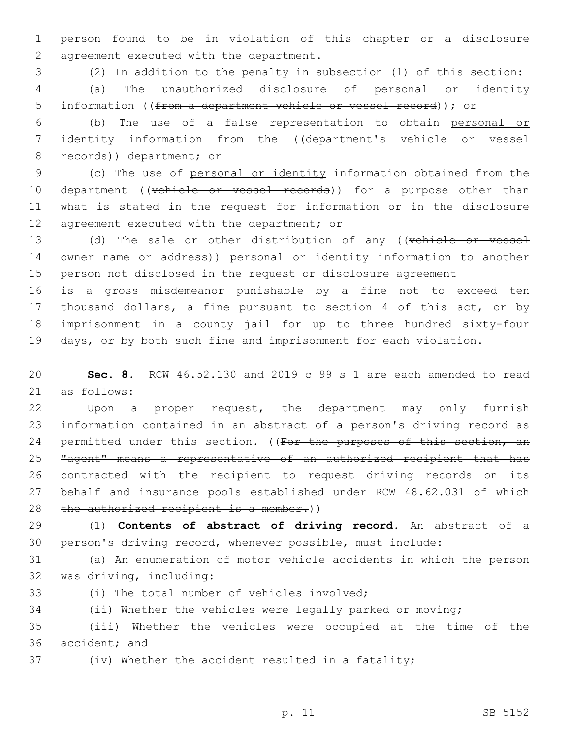1 person found to be in violation of this chapter or a disclosure 2 agreement executed with the department.

3 (2) In addition to the penalty in subsection (1) of this section: 4 (a) The unauthorized disclosure of personal or identity 5 information ((from a department vehicle or vessel record)); or

6 (b) The use of a false representation to obtain personal or 7 identity information from the ((department's vehicle or vessel 8 records)) department; or

9 (c) The use of personal or identity information obtained from the 10 department ((vehicle or vessel records)) for a purpose other than 11 what is stated in the request for information or in the disclosure 12 agreement executed with the department; or

13 (d) The sale or other distribution of any ((vehicle or vessel 14 owner name or address)) personal or identity information to another 15 person not disclosed in the request or disclosure agreement

 is a gross misdemeanor punishable by a fine not to exceed ten 17 thousand dollars, a fine pursuant to section 4 of this act, or by imprisonment in a county jail for up to three hundred sixty-four days, or by both such fine and imprisonment for each violation.

20 **Sec. 8.** RCW 46.52.130 and 2019 c 99 s 1 are each amended to read 21 as follows:

22 Upon a proper request, the department may only furnish 23 information contained in an abstract of a person's driving record as 24 permitted under this section. ((For the purposes of this section, an 25 "agent" means a representative of an authorized recipient that has 26 contracted with the recipient to request driving records on its 27 behalf and insurance pools established under RCW 48.62.031 of which 28 the authorized recipient is a member.))

29 (1) **Contents of abstract of driving record.** An abstract of a 30 person's driving record, whenever possible, must include:

31 (a) An enumeration of motor vehicle accidents in which the person 32 was driving, including:

(i) The total number of vehicles involved;

34 (ii) Whether the vehicles were legally parked or moving;

35 (iii) Whether the vehicles were occupied at the time of the 36 accident; and

37 (iv) Whether the accident resulted in a fatality;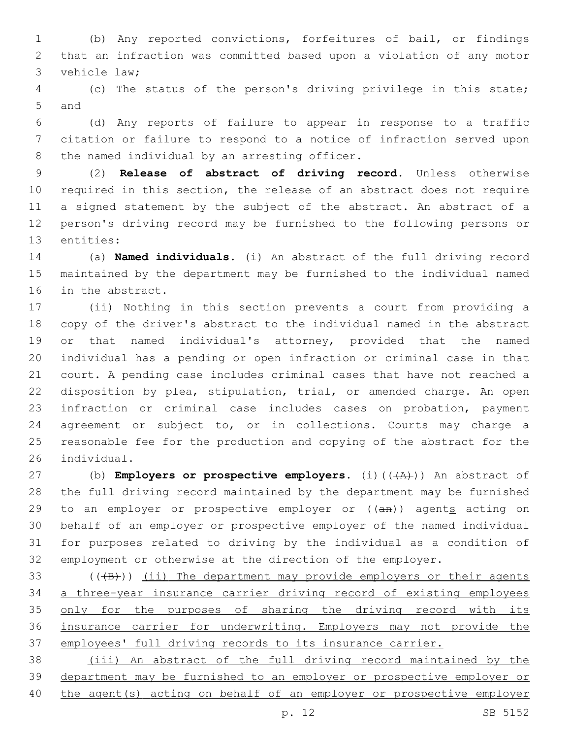(b) Any reported convictions, forfeitures of bail, or findings that an infraction was committed based upon a violation of any motor 3 vehicle law;

 (c) The status of the person's driving privilege in this state; 5 and

 (d) Any reports of failure to appear in response to a traffic citation or failure to respond to a notice of infraction served upon 8 the named individual by an arresting officer.

 (2) **Release of abstract of driving record.** Unless otherwise required in this section, the release of an abstract does not require a signed statement by the subject of the abstract. An abstract of a person's driving record may be furnished to the following persons or 13 entities:

 (a) **Named individuals.** (i) An abstract of the full driving record maintained by the department may be furnished to the individual named 16 in the abstract.

 (ii) Nothing in this section prevents a court from providing a copy of the driver's abstract to the individual named in the abstract or that named individual's attorney, provided that the named individual has a pending or open infraction or criminal case in that court. A pending case includes criminal cases that have not reached a disposition by plea, stipulation, trial, or amended charge. An open infraction or criminal case includes cases on probation, payment agreement or subject to, or in collections. Courts may charge a reasonable fee for the production and copying of the abstract for the 26 individual.

27 (b) **Employers or prospective employers.** (i)(( $\overline{(A)}$ )) An abstract of the full driving record maintained by the department may be furnished 29 to an employer or prospective employer or  $((a + b))$  agents acting on behalf of an employer or prospective employer of the named individual for purposes related to driving by the individual as a condition of employment or otherwise at the direction of the employer.

 $($  ( $($  $+$ B $)$ )  $($ ii) The department may provide employers or their agents a three-year insurance carrier driving record of existing employees 35 only for the purposes of sharing the driving record with its insurance carrier for underwriting. Employers may not provide the employees' full driving records to its insurance carrier.

 (iii) An abstract of the full driving record maintained by the department may be furnished to an employer or prospective employer or the agent(s) acting on behalf of an employer or prospective employer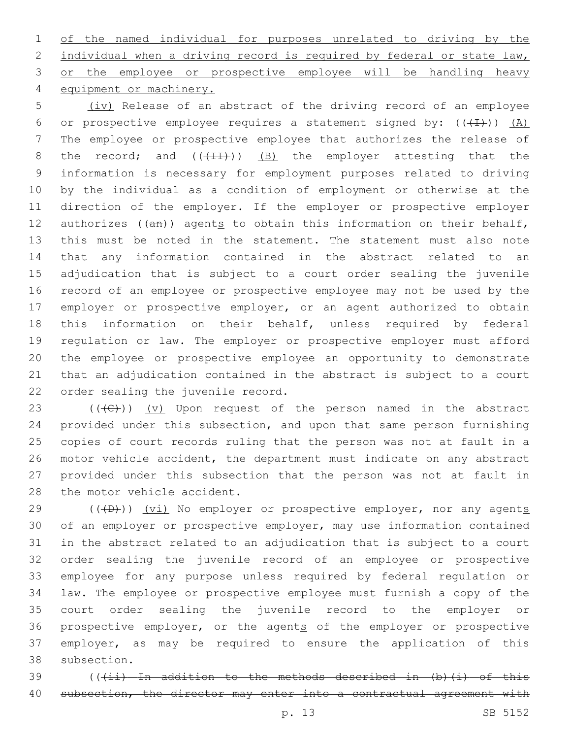of the named individual for purposes unrelated to driving by the 2 individual when a driving record is required by federal or state law, 3 or the employee or prospective employee will be handling heavy 4 equipment or machinery.

 (iv) Release of an abstract of the driving record of an employee 6 or prospective employee requires a statement signed by:  $((+1))$   $(A)$  The employee or prospective employee that authorizes the release of 8 the record; and  $((+11))$  (B) the employer attesting that the information is necessary for employment purposes related to driving by the individual as a condition of employment or otherwise at the direction of the employer. If the employer or prospective employer 12 authorizes  $((an))$  agents to obtain this information on their behalf, this must be noted in the statement. The statement must also note that any information contained in the abstract related to an adjudication that is subject to a court order sealing the juvenile record of an employee or prospective employee may not be used by the employer or prospective employer, or an agent authorized to obtain this information on their behalf, unless required by federal regulation or law. The employer or prospective employer must afford the employee or prospective employee an opportunity to demonstrate that an adjudication contained in the abstract is subject to a court 22 order sealing the juvenile record.

23 ( $(\overline{C})$ ) (v) Upon request of the person named in the abstract provided under this subsection, and upon that same person furnishing copies of court records ruling that the person was not at fault in a motor vehicle accident, the department must indicate on any abstract provided under this subsection that the person was not at fault in 28 the motor vehicle accident.

 $(1 + D)$ ) (vi) No employer or prospective employer, nor any agents of an employer or prospective employer, may use information contained in the abstract related to an adjudication that is subject to a court order sealing the juvenile record of an employee or prospective employee for any purpose unless required by federal regulation or law. The employee or prospective employee must furnish a copy of the court order sealing the juvenile record to the employer or 36 prospective employer, or the agents of the employer or prospective employer, as may be required to ensure the application of this 38 subsection.

39 (((ii) In addition to the methods described in (b)(i) of this 40 subsection, the director may enter into a contractual agreement with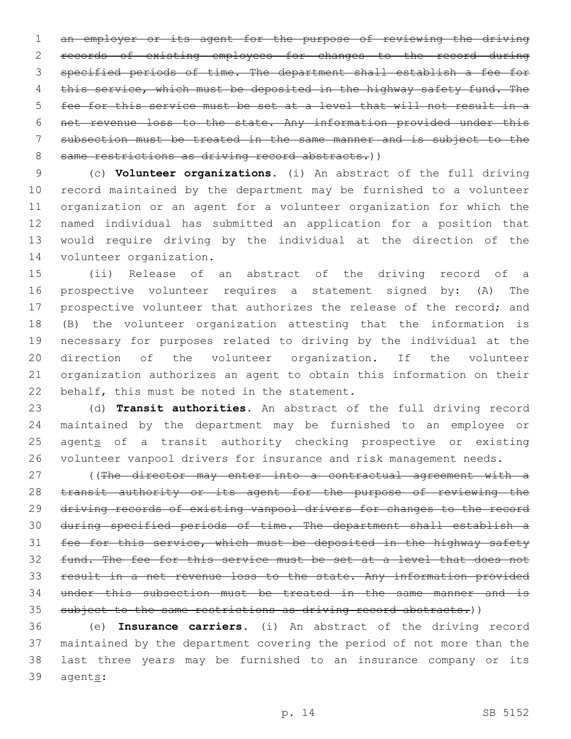an employer or its agent for the purpose of reviewing the driving records of existing employees for changes to the record during specified periods of time. The department shall establish a fee for 4 this service, which must be deposited in the highway safety fund. The fee for this service must be set at a level that will not result in a net revenue loss to the state. Any information provided under this subsection must be treated in the same manner and is subject to the 8 same restrictions as driving record abstracts.))

 (c) **Volunteer organizations.** (i) An abstract of the full driving record maintained by the department may be furnished to a volunteer organization or an agent for a volunteer organization for which the named individual has submitted an application for a position that would require driving by the individual at the direction of the 14 volunteer organization.

 (ii) Release of an abstract of the driving record of a prospective volunteer requires a statement signed by: (A) The prospective volunteer that authorizes the release of the record; and (B) the volunteer organization attesting that the information is necessary for purposes related to driving by the individual at the direction of the volunteer organization. If the volunteer organization authorizes an agent to obtain this information on their 22 behalf, this must be noted in the statement.

 (d) **Transit authorities.** An abstract of the full driving record maintained by the department may be furnished to an employee or 25 agents of a transit authority checking prospective or existing volunteer vanpool drivers for insurance and risk management needs.

27 ((The director may enter into a contractual agreement with a 28 transit authority or its agent for the purpose of reviewing the driving records of existing vanpool drivers for changes to the record during specified periods of time. The department shall establish a 31 fee for this service, which must be deposited in the highway safety fund. The fee for this service must be set at a level that does not result in a net revenue loss to the state. Any information provided under this subsection must be treated in the same manner and is 35 subject to the same restrictions as driving record abstracts.))

 (e) **Insurance carriers.** (i) An abstract of the driving record maintained by the department covering the period of not more than the last three years may be furnished to an insurance company or its 39 agents: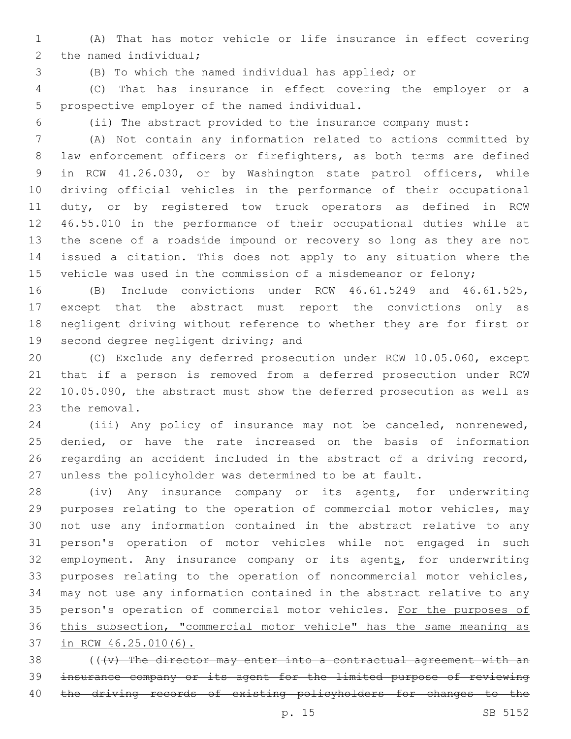(A) That has motor vehicle or life insurance in effect covering 2 the named individual;

(B) To which the named individual has applied; or

 (C) That has insurance in effect covering the employer or a 5 prospective employer of the named individual.

(ii) The abstract provided to the insurance company must:

 (A) Not contain any information related to actions committed by 8 law enforcement officers or firefighters, as both terms are defined in RCW 41.26.030, or by Washington state patrol officers, while driving official vehicles in the performance of their occupational duty, or by registered tow truck operators as defined in RCW 46.55.010 in the performance of their occupational duties while at the scene of a roadside impound or recovery so long as they are not issued a citation. This does not apply to any situation where the 15 vehicle was used in the commission of a misdemeanor or felony;

 (B) Include convictions under RCW 46.61.5249 and 46.61.525, except that the abstract must report the convictions only as negligent driving without reference to whether they are for first or 19 second degree negligent driving; and

 (C) Exclude any deferred prosecution under RCW 10.05.060, except that if a person is removed from a deferred prosecution under RCW 10.05.090, the abstract must show the deferred prosecution as well as 23 the removal.

 (iii) Any policy of insurance may not be canceled, nonrenewed, denied, or have the rate increased on the basis of information regarding an accident included in the abstract of a driving record, unless the policyholder was determined to be at fault.

28 (iv) Any insurance company or its agents, for underwriting purposes relating to the operation of commercial motor vehicles, may not use any information contained in the abstract relative to any person's operation of motor vehicles while not engaged in such 32 employment. Any insurance company or its agents, for underwriting purposes relating to the operation of noncommercial motor vehicles, may not use any information contained in the abstract relative to any 35 person's operation of commercial motor vehicles. For the purposes of this subsection, "commercial motor vehicle" has the same meaning as in RCW 46.25.010(6).

 (( $\{v\}$  The director may enter into a contractual agreement with an insurance company or its agent for the limited purpose of reviewing 40 the driving records of existing policyholders for changes to the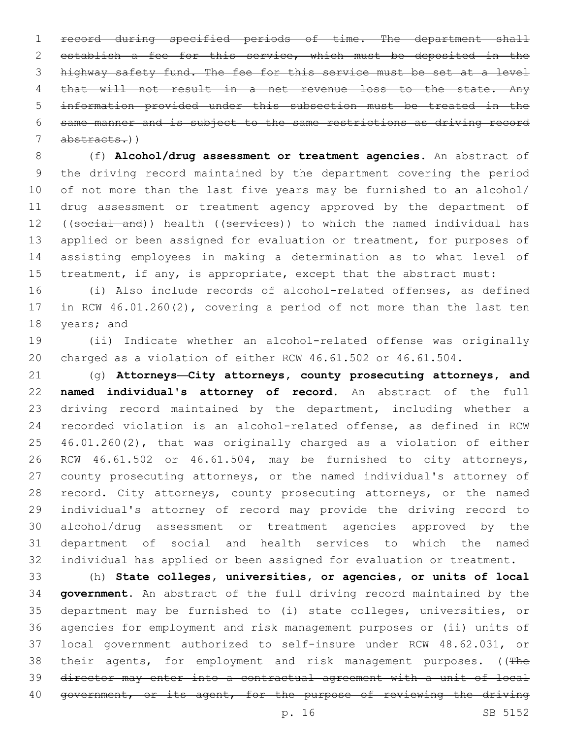record during specified periods of time. The department shall establish a fee for this service, which must be deposited in the highway safety fund. The fee for this service must be set at a level 4 that will not result in a net revenue loss to the state. Any information provided under this subsection must be treated in the same manner and is subject to the same restrictions as driving record abstracts.))

 (f) **Alcohol/drug assessment or treatment agencies.** An abstract of the driving record maintained by the department covering the period of not more than the last five years may be furnished to an alcohol/ drug assessment or treatment agency approved by the department of 12 ((social and)) health ((services)) to which the named individual has 13 applied or been assigned for evaluation or treatment, for purposes of assisting employees in making a determination as to what level of 15 treatment, if any, is appropriate, except that the abstract must:

 (i) Also include records of alcohol-related offenses, as defined in RCW 46.01.260(2), covering a period of not more than the last ten 18 years; and

 (ii) Indicate whether an alcohol-related offense was originally charged as a violation of either RCW 46.61.502 or 46.61.504.

 (g) **Attorneys—City attorneys, county prosecuting attorneys, and named individual's attorney of record.** An abstract of the full 23 driving record maintained by the department, including whether a recorded violation is an alcohol-related offense, as defined in RCW 46.01.260(2), that was originally charged as a violation of either RCW 46.61.502 or 46.61.504, may be furnished to city attorneys, county prosecuting attorneys, or the named individual's attorney of 28 record. City attorneys, county prosecuting attorneys, or the named individual's attorney of record may provide the driving record to alcohol/drug assessment or treatment agencies approved by the department of social and health services to which the named individual has applied or been assigned for evaluation or treatment.

 (h) **State colleges, universities, or agencies, or units of local government.** An abstract of the full driving record maintained by the department may be furnished to (i) state colleges, universities, or agencies for employment and risk management purposes or (ii) units of local government authorized to self-insure under RCW 48.62.031, or 38 their agents, for employment and risk management purposes. ((The director may enter into a contractual agreement with a unit of local 40 government, or its agent, for the purpose of reviewing the driving

p. 16 SB 5152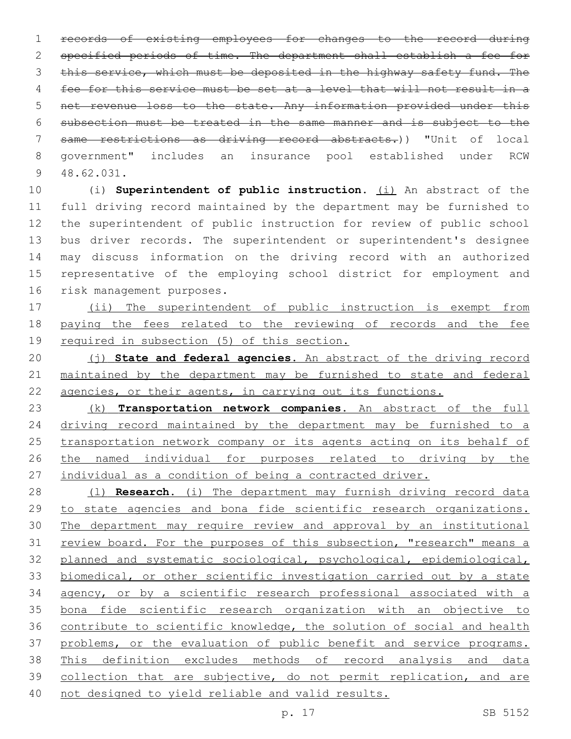records of existing employees for changes to the record during specified periods of time. The department shall establish a fee for 3 this service, which must be deposited in the highway safety fund. The fee for this service must be set at a level that will not result in a net revenue loss to the state. Any information provided under this subsection must be treated in the same manner and is subject to the same restrictions as driving record abstracts.)) "Unit of local government" includes an insurance pool established under RCW 48.62.031.9

 (i) **Superintendent of public instruction.** (i) An abstract of the full driving record maintained by the department may be furnished to the superintendent of public instruction for review of public school bus driver records. The superintendent or superintendent's designee may discuss information on the driving record with an authorized representative of the employing school district for employment and 16 risk management purposes.

 (ii) The superintendent of public instruction is exempt from paying the fees related to the reviewing of records and the fee required in subsection (5) of this section.

 (j) **State and federal agencies.** An abstract of the driving record maintained by the department may be furnished to state and federal 22 agencies, or their agents, in carrying out its functions.

 (k) **Transportation network companies.** An abstract of the full 24 driving record maintained by the department may be furnished to a transportation network company or its agents acting on its behalf of the named individual for purposes related to driving by the individual as a condition of being a contracted driver.

 (l) **Research.** (i) The department may furnish driving record data to state agencies and bona fide scientific research organizations. The department may require review and approval by an institutional 31 review board. For the purposes of this subsection, "research" means a planned and systematic sociological, psychological, epidemiological, biomedical, or other scientific investigation carried out by a state agency, or by a scientific research professional associated with a bona fide scientific research organization with an objective to contribute to scientific knowledge, the solution of social and health 37 problems, or the evaluation of public benefit and service programs. This definition excludes methods of record analysis and data collection that are subjective, do not permit replication, and are not designed to yield reliable and valid results.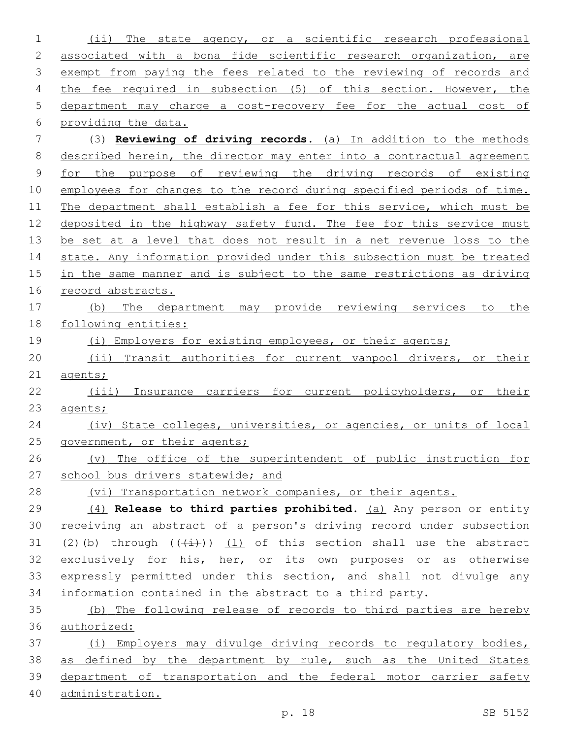(ii) The state agency, or a scientific research professional associated with a bona fide scientific research organization, are 3 exempt from paying the fees related to the reviewing of records and the fee required in subsection (5) of this section. However, the department may charge a cost-recovery fee for the actual cost of providing the data. (3) **Reviewing of driving records.** (a) In addition to the methods described herein, the director may enter into a contractual agreement for the purpose of reviewing the driving records of existing 10 employees for changes to the record during specified periods of time. The department shall establish a fee for this service, which must be deposited in the highway safety fund. The fee for this service must be set at a level that does not result in a net revenue loss to the 14 state. Any information provided under this subsection must be treated 15 in the same manner and is subject to the same restrictions as driving record abstracts. (b) The department may provide reviewing services to the following entities: 19 (i) Employers for existing employees, or their agents; (ii) Transit authorities for current vanpool drivers, or their 21 agents; (iii) Insurance carriers for current policyholders, or their agents; (iv) State colleges, universities, or agencies, or units of local 25 government, or their agents; (v) The office of the superintendent of public instruction for 27 school bus drivers statewide; and 28 (vi) Transportation network companies, or their agents. (4) **Release to third parties prohibited.** (a) Any person or entity receiving an abstract of a person's driving record under subsection 31 (2)(b) through  $((+i+))$  (1) of this section shall use the abstract exclusively for his, her, or its own purposes or as otherwise expressly permitted under this section, and shall not divulge any information contained in the abstract to a third party. (b) The following release of records to third parties are hereby authorized: (i) Employers may divulge driving records to regulatory bodies, 38 as defined by the department by rule, such as the United States department of transportation and the federal motor carrier safety administration.